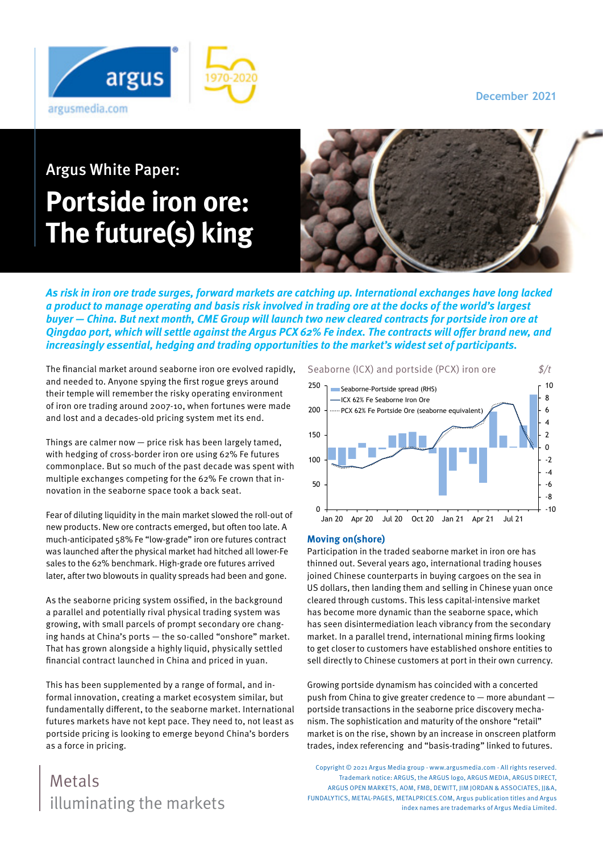**December 2021**



# Argus White Paper: **Portside iron ore: The future(s) king**



**As risk in iron ore trade surges, forward markets are catching up. International exchanges have long lacked a product to manage operating and basis risk involved in trading ore at the docks of the world's largest buyer — China. But next month, CME Group will launch two new cleared contracts for portside iron ore at Qingdao port, which will settle against the Argus PCX 62% Fe index. The contracts will offer brand new, and increasingly essential, hedging and trading opportunities to the market's widest set of participants.**

The financial market around seaborne iron ore evolved rapidly, and needed to. Anyone spying the first rogue greys around their temple will remember the risky operating environment of iron ore trading around 2007-10, when fortunes were made and lost and a decades-old pricing system met its end.

Things are calmer now — price risk has been largely tamed, with hedging of cross-border iron ore using 62% Fe futures commonplace. But so much of the past decade was spent with multiple exchanges competing for the 62% Fe crown that innovation in the seaborne space took a back seat.

Fear of diluting liquidity in the main market slowed the roll-out of new products. New ore contracts emerged, but often too late. A much-anticipated 58% Fe "low-grade" iron ore futures contract was launched after the physical market had hitched all lower-Fe sales to the 62% benchmark. High-grade ore futures arrived later, after two blowouts in quality spreads had been and gone.

As the seaborne pricing system ossified, in the background a parallel and potentially rival physical trading system was growing, with small parcels of prompt secondary ore changing hands at China's ports — the so-called "onshore" market. That has grown alongside a highly liquid, physically settled financial contract launched in China and priced in yuan.

This has been supplemented by a range of formal, and informal innovation, creating a market ecosystem similar, but fundamentally different, to the seaborne market. International futures markets have not kept pace. They need to, not least as portside pricing is looking to emerge beyond China's borders as a force in pricing.

## illuminating the markets Metals





#### **Moving on(shore)**

Participation in the traded seaborne market in iron ore has thinned out. Several years ago, international trading houses joined Chinese counterparts in buying cargoes on the sea in US dollars, then landing them and selling in Chinese yuan once cleared through customs. This less capital-intensive market has become more dynamic than the seaborne space, which has seen disintermediation leach vibrancy from the secondary market. In a parallel trend, international mining firms looking to get closer to customers have established onshore entities to sell directly to Chinese customers at port in their own currency.

Growing portside dynamism has coincided with a concerted push from China to give greater credence to — more abundant portside transactions in the seaborne price discovery mechanism. The sophistication and maturity of the onshore "retail" market is on the rise, shown by an increase in onscreen platform trades, index referencing and "basis-trading" linked to futures.

Copyright © 2021 Argus Media group - www.argusmedia.com - All rights reserved. Trademark notice: ARGUS, the ARGUS logo, ARGUS MEDIA, ARGUS DIRECT, ARGUS OPEN MARKETS, AOM, FMB, DEWITT, JIM JORDAN & ASSOCIATES, JJ&A, FUNDALYTICS, METAL-PAGES, METALPRICES.COM, Argus publication titles and Argus index names are trademarks of Argus Media Limited.